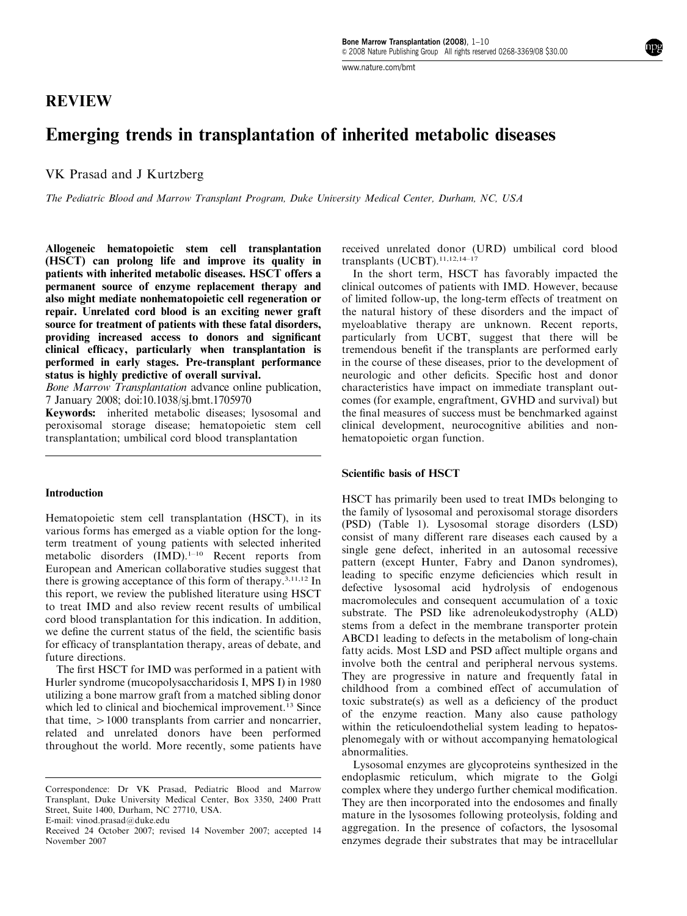# REVIEW

Emerging trends in transplantation of inherited metabolic diseases

VK Prasad and J Kurtzberg

The Pediatric Blood and Marrow Transplant Program, Duke University Medical Center, Durham, NC, USA

Allogeneic hematopoietic stem cell transplantation (HSCT) can prolong life and improve its quality in patients with inherited metabolic diseases. HSCT offers a permanent source of enzyme replacement therapy and also might mediate nonhematopoietic cell regeneration or repair. Unrelated cord blood is an exciting newer graft source for treatment of patients with these fatal disorders, providing increased access to donors and significant clinical efficacy, particularly when transplantation is performed in early stages. Pre-transplant performance status is highly predictive of overall survival.

Bone Marrow Transplantation advance online publication, 7 January 2008; doi:10.1038/sj.bmt.1705970

Keywords: inherited metabolic diseases; lysosomal and peroxisomal storage disease; hematopoietic stem cell transplantation; umbilical cord blood transplantation

## Introduction

Hematopoietic stem cell transplantation (HSCT), in its various forms has emerged as a viable option for the longterm treatment of young patients with selected inherited metabolic disorders  $(MD)$ .<sup>1–10</sup> Recent reports from European and American collaborative studies suggest that there is growing acceptance of this form of therapy.<sup>3,11,12</sup> In this report, we review the published literature using HSCT to treat IMD and also review recent results of umbilical cord blood transplantation for this indication. In addition, we define the current status of the field, the scientific basis for efficacy of transplantation therapy, areas of debate, and future directions.

The first HSCT for IMD was performed in a patient with Hurler syndrome (mucopolysaccharidosis I, MPS I) in 1980 utilizing a bone marrow graft from a matched sibling donor which led to clinical and biochemical improvement.<sup>13</sup> Since that time,  $>1000$  transplants from carrier and noncarrier, related and unrelated donors have been performed throughout the world. More recently, some patients have

E-mail: vinod.prasad@duke.edu

received unrelated donor (URD) umbilical cord blood transplants (UCBT).<sup>11,12,14-17</sup>

In the short term, HSCT has favorably impacted the clinical outcomes of patients with IMD. However, because of limited follow-up, the long-term effects of treatment on the natural history of these disorders and the impact of myeloablative therapy are unknown. Recent reports, particularly from UCBT, suggest that there will be tremendous benefit if the transplants are performed early in the course of these diseases, prior to the development of neurologic and other deficits. Specific host and donor characteristics have impact on immediate transplant outcomes (for example, engraftment, GVHD and survival) but the final measures of success must be benchmarked against clinical development, neurocognitive abilities and nonhematopoietic organ function.

#### Scientific basis of HSCT

HSCT has primarily been used to treat IMDs belonging to the family of lysosomal and peroxisomal storage disorders (PSD) (Table 1). Lysosomal storage disorders (LSD) consist of many different rare diseases each caused by a single gene defect, inherited in an autosomal recessive pattern (except Hunter, Fabry and Danon syndromes), leading to specific enzyme deficiencies which result in defective lysosomal acid hydrolysis of endogenous macromolecules and consequent accumulation of a toxic substrate. The PSD like adrenoleukodystrophy (ALD) stems from a defect in the membrane transporter protein ABCD1 leading to defects in the metabolism of long-chain fatty acids. Most LSD and PSD affect multiple organs and involve both the central and peripheral nervous systems. They are progressive in nature and frequently fatal in childhood from a combined effect of accumulation of toxic substrate(s) as well as a deficiency of the product of the enzyme reaction. Many also cause pathology within the reticuloendothelial system leading to hepatosplenomegaly with or without accompanying hematological abnormalities.

Lysosomal enzymes are glycoproteins synthesized in the endoplasmic reticulum, which migrate to the Golgi complex where they undergo further chemical modification. They are then incorporated into the endosomes and finally mature in the lysosomes following proteolysis, folding and aggregation. In the presence of cofactors, the lysosomal enzymes degrade their substrates that may be intracellular

Correspondence: Dr VK Prasad, Pediatric Blood and Marrow Transplant, Duke University Medical Center, Box 3350, 2400 Pratt Street, Suite 1400, Durham, NC 27710, USA.

Received 24 October 2007; revised 14 November 2007; accepted 14 November 2007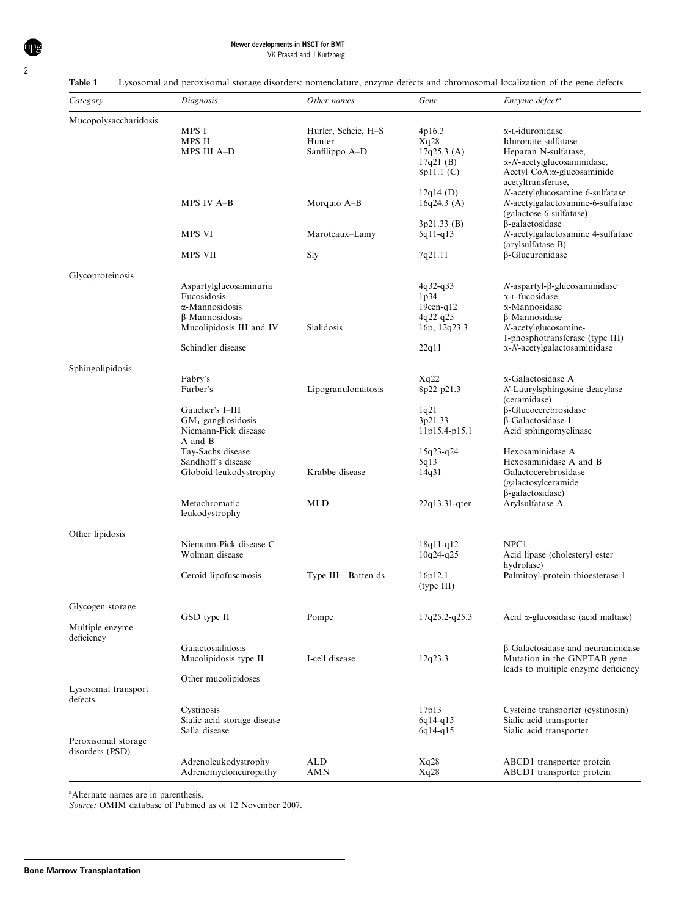Newer developments in HSCT for BMT VK Prasad and J Kurtzberg

| MPS I<br>Hurler, Scheie, H-S<br>α-L-iduronidase<br>4p16.3<br>MPS II<br>Xq28<br>Iduronate sulfatase<br>Hunter<br>MPS III A-D<br>Sanfilippo A-D<br>$17q25.3$ (A)<br>Heparan N-sulfatase,<br>$17q21$ (B)<br>$\alpha$ - <i>N</i> -acetylglucosaminidase,<br>Acetyl CoA:α-glucosaminide<br>8p11.1 (C)<br>acetyltransferase,<br>N-acetylglucosamine 6-sulfatase<br>$12q14$ (D)<br>MPS IV A-B<br>Morquio A-B<br>16q24.3(A)<br>N-acetylgalactosamine-6-sulfatase<br>(galactose-6-sulfatase)<br>$\beta$ -galactosidase<br>3p21.33(B)<br>N-acetylgalactosamine 4-sulfatase<br>MPS VI<br>Maroteaux-Lamy<br>$5q11-q13$<br>(arylsulfatase B)<br>$\beta$ -Glucuronidase<br>MPS VII<br>Sly<br>7q21.11<br>Glycoproteinosis<br>Aspartylglucosaminuria<br>$4q32-q33$<br>$N$ -aspartyl- $\beta$ -glucosaminidase<br>Fucosidosis<br>$\alpha$ -L-fucosidase<br>1p34<br>α-Mannosidosis<br>$19$ cen-q $12$<br>$\alpha$ -Mannosidase<br>β-Mannosidosis<br>$4q22-q25$<br>β-Mannosidase<br>Sialidosis<br>Mucolipidosis III and IV<br>16p, 12q23.3<br>N-acetylglucosamine-<br>1-phosphotransferase (type III)<br>Schindler disease<br>$\alpha$ -N-acetylgalactosaminidase<br>22q11<br>Xq22<br>α-Galactosidase A<br>Fabry's<br>Farber's<br>Lipogranulomatosis<br>N-Laurylsphingosine deacylase<br>8p22-p21.3<br>(ceramidase)<br>$\beta$ -Glucocerebrosidase<br>Gaucher's I-III<br>1q21<br>$GM1$ gangliosidosis<br>3p21.33<br><b>ß-Galactosidase-1</b><br>Niemann-Pick disease<br>Acid sphingomyelinase<br>11p15.4-p15.1<br>A and B<br>Hexosaminidase A<br>Tay-Sachs disease<br>$15q23-q24$<br>Sandhoff's disease<br>5q13<br>Hexosaminidase A and B<br>Krabbe disease<br>14q31<br>Galactocerebrosidase<br>Globoid leukodystrophy<br>(galactosylceramide<br>$\beta$ -galactosidase)<br>Metachromatic<br>MLD<br>$22q13.31$ -qter<br>Arylsulfatase A<br>leukodystrophy<br>Other lipidosis<br>Niemann-Pick disease C<br>NPC1<br>$18q11-q12$<br>Wolman disease<br>$10q24-q25$<br>Acid lipase (cholesteryl ester<br>hydrolase)<br>Type III-Batten ds<br>16p12.1<br>Palmitoyl-protein thioesterase-1<br>Ceroid lipofuscinosis<br>(type III)<br>Glycogen storage<br>GSD type II<br>Acid $\alpha$ -glucosidase (acid maltase)<br>Pompe<br>$17q25.2-q25.3$<br>Galactosialidosis<br>Mucolipidosis type II<br>I-cell disease<br>Mutation in the GNPTAB gene<br>12q23.3<br>leads to multiple enzyme deficiency<br>Other mucolipidoses<br>Lysosomal transport<br>defects<br>Cystinosis<br>17p13<br>Cysteine transporter (cystinosin)<br>Sialic acid storage disease<br>$6q14-q15$<br>Sialic acid transporter<br>Sialic acid transporter<br>Salla disease<br>$6q14-q15$<br>Peroxisomal storage<br>disorders (PSD)<br>Adrenoleukodystrophy<br>ALD<br>Xq28<br>ABCD1 transporter protein<br>Adrenomyeloneuropathy<br>AMN<br>Xq28<br>ABCD1 transporter protein | Category                      | Diagnosis | Other names | Gene | Enzyme defect <sup>a</sup>               |
|----------------------------------------------------------------------------------------------------------------------------------------------------------------------------------------------------------------------------------------------------------------------------------------------------------------------------------------------------------------------------------------------------------------------------------------------------------------------------------------------------------------------------------------------------------------------------------------------------------------------------------------------------------------------------------------------------------------------------------------------------------------------------------------------------------------------------------------------------------------------------------------------------------------------------------------------------------------------------------------------------------------------------------------------------------------------------------------------------------------------------------------------------------------------------------------------------------------------------------------------------------------------------------------------------------------------------------------------------------------------------------------------------------------------------------------------------------------------------------------------------------------------------------------------------------------------------------------------------------------------------------------------------------------------------------------------------------------------------------------------------------------------------------------------------------------------------------------------------------------------------------------------------------------------------------------------------------------------------------------------------------------------------------------------------------------------------------------------------------------------------------------------------------------------------------------------------------------------------------------------------------------------------------------------------------------------------------------------------------------------------------------------------------------------------------------------------------------------------------------------------------------------------------------------------------------------------------------------------------------------------------------------------------------------------------------------------------------------------------------------------------------------------------------------------------------|-------------------------------|-----------|-------------|------|------------------------------------------|
|                                                                                                                                                                                                                                                                                                                                                                                                                                                                                                                                                                                                                                                                                                                                                                                                                                                                                                                                                                                                                                                                                                                                                                                                                                                                                                                                                                                                                                                                                                                                                                                                                                                                                                                                                                                                                                                                                                                                                                                                                                                                                                                                                                                                                                                                                                                                                                                                                                                                                                                                                                                                                                                                                                                                                                                                                | Mucopolysaccharidosis         |           |             |      |                                          |
|                                                                                                                                                                                                                                                                                                                                                                                                                                                                                                                                                                                                                                                                                                                                                                                                                                                                                                                                                                                                                                                                                                                                                                                                                                                                                                                                                                                                                                                                                                                                                                                                                                                                                                                                                                                                                                                                                                                                                                                                                                                                                                                                                                                                                                                                                                                                                                                                                                                                                                                                                                                                                                                                                                                                                                                                                |                               |           |             |      |                                          |
|                                                                                                                                                                                                                                                                                                                                                                                                                                                                                                                                                                                                                                                                                                                                                                                                                                                                                                                                                                                                                                                                                                                                                                                                                                                                                                                                                                                                                                                                                                                                                                                                                                                                                                                                                                                                                                                                                                                                                                                                                                                                                                                                                                                                                                                                                                                                                                                                                                                                                                                                                                                                                                                                                                                                                                                                                |                               |           |             |      |                                          |
|                                                                                                                                                                                                                                                                                                                                                                                                                                                                                                                                                                                                                                                                                                                                                                                                                                                                                                                                                                                                                                                                                                                                                                                                                                                                                                                                                                                                                                                                                                                                                                                                                                                                                                                                                                                                                                                                                                                                                                                                                                                                                                                                                                                                                                                                                                                                                                                                                                                                                                                                                                                                                                                                                                                                                                                                                |                               |           |             |      |                                          |
|                                                                                                                                                                                                                                                                                                                                                                                                                                                                                                                                                                                                                                                                                                                                                                                                                                                                                                                                                                                                                                                                                                                                                                                                                                                                                                                                                                                                                                                                                                                                                                                                                                                                                                                                                                                                                                                                                                                                                                                                                                                                                                                                                                                                                                                                                                                                                                                                                                                                                                                                                                                                                                                                                                                                                                                                                |                               |           |             |      |                                          |
|                                                                                                                                                                                                                                                                                                                                                                                                                                                                                                                                                                                                                                                                                                                                                                                                                                                                                                                                                                                                                                                                                                                                                                                                                                                                                                                                                                                                                                                                                                                                                                                                                                                                                                                                                                                                                                                                                                                                                                                                                                                                                                                                                                                                                                                                                                                                                                                                                                                                                                                                                                                                                                                                                                                                                                                                                |                               |           |             |      |                                          |
|                                                                                                                                                                                                                                                                                                                                                                                                                                                                                                                                                                                                                                                                                                                                                                                                                                                                                                                                                                                                                                                                                                                                                                                                                                                                                                                                                                                                                                                                                                                                                                                                                                                                                                                                                                                                                                                                                                                                                                                                                                                                                                                                                                                                                                                                                                                                                                                                                                                                                                                                                                                                                                                                                                                                                                                                                |                               |           |             |      |                                          |
|                                                                                                                                                                                                                                                                                                                                                                                                                                                                                                                                                                                                                                                                                                                                                                                                                                                                                                                                                                                                                                                                                                                                                                                                                                                                                                                                                                                                                                                                                                                                                                                                                                                                                                                                                                                                                                                                                                                                                                                                                                                                                                                                                                                                                                                                                                                                                                                                                                                                                                                                                                                                                                                                                                                                                                                                                |                               |           |             |      |                                          |
|                                                                                                                                                                                                                                                                                                                                                                                                                                                                                                                                                                                                                                                                                                                                                                                                                                                                                                                                                                                                                                                                                                                                                                                                                                                                                                                                                                                                                                                                                                                                                                                                                                                                                                                                                                                                                                                                                                                                                                                                                                                                                                                                                                                                                                                                                                                                                                                                                                                                                                                                                                                                                                                                                                                                                                                                                |                               |           |             |      |                                          |
|                                                                                                                                                                                                                                                                                                                                                                                                                                                                                                                                                                                                                                                                                                                                                                                                                                                                                                                                                                                                                                                                                                                                                                                                                                                                                                                                                                                                                                                                                                                                                                                                                                                                                                                                                                                                                                                                                                                                                                                                                                                                                                                                                                                                                                                                                                                                                                                                                                                                                                                                                                                                                                                                                                                                                                                                                |                               |           |             |      |                                          |
|                                                                                                                                                                                                                                                                                                                                                                                                                                                                                                                                                                                                                                                                                                                                                                                                                                                                                                                                                                                                                                                                                                                                                                                                                                                                                                                                                                                                                                                                                                                                                                                                                                                                                                                                                                                                                                                                                                                                                                                                                                                                                                                                                                                                                                                                                                                                                                                                                                                                                                                                                                                                                                                                                                                                                                                                                |                               |           |             |      |                                          |
|                                                                                                                                                                                                                                                                                                                                                                                                                                                                                                                                                                                                                                                                                                                                                                                                                                                                                                                                                                                                                                                                                                                                                                                                                                                                                                                                                                                                                                                                                                                                                                                                                                                                                                                                                                                                                                                                                                                                                                                                                                                                                                                                                                                                                                                                                                                                                                                                                                                                                                                                                                                                                                                                                                                                                                                                                |                               |           |             |      |                                          |
|                                                                                                                                                                                                                                                                                                                                                                                                                                                                                                                                                                                                                                                                                                                                                                                                                                                                                                                                                                                                                                                                                                                                                                                                                                                                                                                                                                                                                                                                                                                                                                                                                                                                                                                                                                                                                                                                                                                                                                                                                                                                                                                                                                                                                                                                                                                                                                                                                                                                                                                                                                                                                                                                                                                                                                                                                |                               |           |             |      |                                          |
|                                                                                                                                                                                                                                                                                                                                                                                                                                                                                                                                                                                                                                                                                                                                                                                                                                                                                                                                                                                                                                                                                                                                                                                                                                                                                                                                                                                                                                                                                                                                                                                                                                                                                                                                                                                                                                                                                                                                                                                                                                                                                                                                                                                                                                                                                                                                                                                                                                                                                                                                                                                                                                                                                                                                                                                                                |                               |           |             |      |                                          |
|                                                                                                                                                                                                                                                                                                                                                                                                                                                                                                                                                                                                                                                                                                                                                                                                                                                                                                                                                                                                                                                                                                                                                                                                                                                                                                                                                                                                                                                                                                                                                                                                                                                                                                                                                                                                                                                                                                                                                                                                                                                                                                                                                                                                                                                                                                                                                                                                                                                                                                                                                                                                                                                                                                                                                                                                                |                               |           |             |      |                                          |
|                                                                                                                                                                                                                                                                                                                                                                                                                                                                                                                                                                                                                                                                                                                                                                                                                                                                                                                                                                                                                                                                                                                                                                                                                                                                                                                                                                                                                                                                                                                                                                                                                                                                                                                                                                                                                                                                                                                                                                                                                                                                                                                                                                                                                                                                                                                                                                                                                                                                                                                                                                                                                                                                                                                                                                                                                |                               |           |             |      |                                          |
|                                                                                                                                                                                                                                                                                                                                                                                                                                                                                                                                                                                                                                                                                                                                                                                                                                                                                                                                                                                                                                                                                                                                                                                                                                                                                                                                                                                                                                                                                                                                                                                                                                                                                                                                                                                                                                                                                                                                                                                                                                                                                                                                                                                                                                                                                                                                                                                                                                                                                                                                                                                                                                                                                                                                                                                                                |                               |           |             |      |                                          |
|                                                                                                                                                                                                                                                                                                                                                                                                                                                                                                                                                                                                                                                                                                                                                                                                                                                                                                                                                                                                                                                                                                                                                                                                                                                                                                                                                                                                                                                                                                                                                                                                                                                                                                                                                                                                                                                                                                                                                                                                                                                                                                                                                                                                                                                                                                                                                                                                                                                                                                                                                                                                                                                                                                                                                                                                                |                               |           |             |      |                                          |
|                                                                                                                                                                                                                                                                                                                                                                                                                                                                                                                                                                                                                                                                                                                                                                                                                                                                                                                                                                                                                                                                                                                                                                                                                                                                                                                                                                                                                                                                                                                                                                                                                                                                                                                                                                                                                                                                                                                                                                                                                                                                                                                                                                                                                                                                                                                                                                                                                                                                                                                                                                                                                                                                                                                                                                                                                |                               |           |             |      |                                          |
|                                                                                                                                                                                                                                                                                                                                                                                                                                                                                                                                                                                                                                                                                                                                                                                                                                                                                                                                                                                                                                                                                                                                                                                                                                                                                                                                                                                                                                                                                                                                                                                                                                                                                                                                                                                                                                                                                                                                                                                                                                                                                                                                                                                                                                                                                                                                                                                                                                                                                                                                                                                                                                                                                                                                                                                                                | Sphingolipidosis              |           |             |      |                                          |
|                                                                                                                                                                                                                                                                                                                                                                                                                                                                                                                                                                                                                                                                                                                                                                                                                                                                                                                                                                                                                                                                                                                                                                                                                                                                                                                                                                                                                                                                                                                                                                                                                                                                                                                                                                                                                                                                                                                                                                                                                                                                                                                                                                                                                                                                                                                                                                                                                                                                                                                                                                                                                                                                                                                                                                                                                |                               |           |             |      |                                          |
|                                                                                                                                                                                                                                                                                                                                                                                                                                                                                                                                                                                                                                                                                                                                                                                                                                                                                                                                                                                                                                                                                                                                                                                                                                                                                                                                                                                                                                                                                                                                                                                                                                                                                                                                                                                                                                                                                                                                                                                                                                                                                                                                                                                                                                                                                                                                                                                                                                                                                                                                                                                                                                                                                                                                                                                                                |                               |           |             |      |                                          |
|                                                                                                                                                                                                                                                                                                                                                                                                                                                                                                                                                                                                                                                                                                                                                                                                                                                                                                                                                                                                                                                                                                                                                                                                                                                                                                                                                                                                                                                                                                                                                                                                                                                                                                                                                                                                                                                                                                                                                                                                                                                                                                                                                                                                                                                                                                                                                                                                                                                                                                                                                                                                                                                                                                                                                                                                                |                               |           |             |      |                                          |
|                                                                                                                                                                                                                                                                                                                                                                                                                                                                                                                                                                                                                                                                                                                                                                                                                                                                                                                                                                                                                                                                                                                                                                                                                                                                                                                                                                                                                                                                                                                                                                                                                                                                                                                                                                                                                                                                                                                                                                                                                                                                                                                                                                                                                                                                                                                                                                                                                                                                                                                                                                                                                                                                                                                                                                                                                |                               |           |             |      |                                          |
|                                                                                                                                                                                                                                                                                                                                                                                                                                                                                                                                                                                                                                                                                                                                                                                                                                                                                                                                                                                                                                                                                                                                                                                                                                                                                                                                                                                                                                                                                                                                                                                                                                                                                                                                                                                                                                                                                                                                                                                                                                                                                                                                                                                                                                                                                                                                                                                                                                                                                                                                                                                                                                                                                                                                                                                                                |                               |           |             |      |                                          |
|                                                                                                                                                                                                                                                                                                                                                                                                                                                                                                                                                                                                                                                                                                                                                                                                                                                                                                                                                                                                                                                                                                                                                                                                                                                                                                                                                                                                                                                                                                                                                                                                                                                                                                                                                                                                                                                                                                                                                                                                                                                                                                                                                                                                                                                                                                                                                                                                                                                                                                                                                                                                                                                                                                                                                                                                                |                               |           |             |      |                                          |
|                                                                                                                                                                                                                                                                                                                                                                                                                                                                                                                                                                                                                                                                                                                                                                                                                                                                                                                                                                                                                                                                                                                                                                                                                                                                                                                                                                                                                                                                                                                                                                                                                                                                                                                                                                                                                                                                                                                                                                                                                                                                                                                                                                                                                                                                                                                                                                                                                                                                                                                                                                                                                                                                                                                                                                                                                |                               |           |             |      |                                          |
|                                                                                                                                                                                                                                                                                                                                                                                                                                                                                                                                                                                                                                                                                                                                                                                                                                                                                                                                                                                                                                                                                                                                                                                                                                                                                                                                                                                                                                                                                                                                                                                                                                                                                                                                                                                                                                                                                                                                                                                                                                                                                                                                                                                                                                                                                                                                                                                                                                                                                                                                                                                                                                                                                                                                                                                                                |                               |           |             |      |                                          |
|                                                                                                                                                                                                                                                                                                                                                                                                                                                                                                                                                                                                                                                                                                                                                                                                                                                                                                                                                                                                                                                                                                                                                                                                                                                                                                                                                                                                                                                                                                                                                                                                                                                                                                                                                                                                                                                                                                                                                                                                                                                                                                                                                                                                                                                                                                                                                                                                                                                                                                                                                                                                                                                                                                                                                                                                                |                               |           |             |      |                                          |
|                                                                                                                                                                                                                                                                                                                                                                                                                                                                                                                                                                                                                                                                                                                                                                                                                                                                                                                                                                                                                                                                                                                                                                                                                                                                                                                                                                                                                                                                                                                                                                                                                                                                                                                                                                                                                                                                                                                                                                                                                                                                                                                                                                                                                                                                                                                                                                                                                                                                                                                                                                                                                                                                                                                                                                                                                |                               |           |             |      |                                          |
|                                                                                                                                                                                                                                                                                                                                                                                                                                                                                                                                                                                                                                                                                                                                                                                                                                                                                                                                                                                                                                                                                                                                                                                                                                                                                                                                                                                                                                                                                                                                                                                                                                                                                                                                                                                                                                                                                                                                                                                                                                                                                                                                                                                                                                                                                                                                                                                                                                                                                                                                                                                                                                                                                                                                                                                                                |                               |           |             |      |                                          |
|                                                                                                                                                                                                                                                                                                                                                                                                                                                                                                                                                                                                                                                                                                                                                                                                                                                                                                                                                                                                                                                                                                                                                                                                                                                                                                                                                                                                                                                                                                                                                                                                                                                                                                                                                                                                                                                                                                                                                                                                                                                                                                                                                                                                                                                                                                                                                                                                                                                                                                                                                                                                                                                                                                                                                                                                                |                               |           |             |      |                                          |
|                                                                                                                                                                                                                                                                                                                                                                                                                                                                                                                                                                                                                                                                                                                                                                                                                                                                                                                                                                                                                                                                                                                                                                                                                                                                                                                                                                                                                                                                                                                                                                                                                                                                                                                                                                                                                                                                                                                                                                                                                                                                                                                                                                                                                                                                                                                                                                                                                                                                                                                                                                                                                                                                                                                                                                                                                |                               |           |             |      |                                          |
|                                                                                                                                                                                                                                                                                                                                                                                                                                                                                                                                                                                                                                                                                                                                                                                                                                                                                                                                                                                                                                                                                                                                                                                                                                                                                                                                                                                                                                                                                                                                                                                                                                                                                                                                                                                                                                                                                                                                                                                                                                                                                                                                                                                                                                                                                                                                                                                                                                                                                                                                                                                                                                                                                                                                                                                                                |                               |           |             |      |                                          |
|                                                                                                                                                                                                                                                                                                                                                                                                                                                                                                                                                                                                                                                                                                                                                                                                                                                                                                                                                                                                                                                                                                                                                                                                                                                                                                                                                                                                                                                                                                                                                                                                                                                                                                                                                                                                                                                                                                                                                                                                                                                                                                                                                                                                                                                                                                                                                                                                                                                                                                                                                                                                                                                                                                                                                                                                                |                               |           |             |      |                                          |
|                                                                                                                                                                                                                                                                                                                                                                                                                                                                                                                                                                                                                                                                                                                                                                                                                                                                                                                                                                                                                                                                                                                                                                                                                                                                                                                                                                                                                                                                                                                                                                                                                                                                                                                                                                                                                                                                                                                                                                                                                                                                                                                                                                                                                                                                                                                                                                                                                                                                                                                                                                                                                                                                                                                                                                                                                |                               |           |             |      |                                          |
|                                                                                                                                                                                                                                                                                                                                                                                                                                                                                                                                                                                                                                                                                                                                                                                                                                                                                                                                                                                                                                                                                                                                                                                                                                                                                                                                                                                                                                                                                                                                                                                                                                                                                                                                                                                                                                                                                                                                                                                                                                                                                                                                                                                                                                                                                                                                                                                                                                                                                                                                                                                                                                                                                                                                                                                                                |                               |           |             |      |                                          |
|                                                                                                                                                                                                                                                                                                                                                                                                                                                                                                                                                                                                                                                                                                                                                                                                                                                                                                                                                                                                                                                                                                                                                                                                                                                                                                                                                                                                                                                                                                                                                                                                                                                                                                                                                                                                                                                                                                                                                                                                                                                                                                                                                                                                                                                                                                                                                                                                                                                                                                                                                                                                                                                                                                                                                                                                                | Multiple enzyme<br>deficiency |           |             |      |                                          |
|                                                                                                                                                                                                                                                                                                                                                                                                                                                                                                                                                                                                                                                                                                                                                                                                                                                                                                                                                                                                                                                                                                                                                                                                                                                                                                                                                                                                                                                                                                                                                                                                                                                                                                                                                                                                                                                                                                                                                                                                                                                                                                                                                                                                                                                                                                                                                                                                                                                                                                                                                                                                                                                                                                                                                                                                                |                               |           |             |      | $\beta$ -Galactosidase and neuraminidase |
|                                                                                                                                                                                                                                                                                                                                                                                                                                                                                                                                                                                                                                                                                                                                                                                                                                                                                                                                                                                                                                                                                                                                                                                                                                                                                                                                                                                                                                                                                                                                                                                                                                                                                                                                                                                                                                                                                                                                                                                                                                                                                                                                                                                                                                                                                                                                                                                                                                                                                                                                                                                                                                                                                                                                                                                                                |                               |           |             |      |                                          |
|                                                                                                                                                                                                                                                                                                                                                                                                                                                                                                                                                                                                                                                                                                                                                                                                                                                                                                                                                                                                                                                                                                                                                                                                                                                                                                                                                                                                                                                                                                                                                                                                                                                                                                                                                                                                                                                                                                                                                                                                                                                                                                                                                                                                                                                                                                                                                                                                                                                                                                                                                                                                                                                                                                                                                                                                                |                               |           |             |      |                                          |
|                                                                                                                                                                                                                                                                                                                                                                                                                                                                                                                                                                                                                                                                                                                                                                                                                                                                                                                                                                                                                                                                                                                                                                                                                                                                                                                                                                                                                                                                                                                                                                                                                                                                                                                                                                                                                                                                                                                                                                                                                                                                                                                                                                                                                                                                                                                                                                                                                                                                                                                                                                                                                                                                                                                                                                                                                |                               |           |             |      |                                          |
|                                                                                                                                                                                                                                                                                                                                                                                                                                                                                                                                                                                                                                                                                                                                                                                                                                                                                                                                                                                                                                                                                                                                                                                                                                                                                                                                                                                                                                                                                                                                                                                                                                                                                                                                                                                                                                                                                                                                                                                                                                                                                                                                                                                                                                                                                                                                                                                                                                                                                                                                                                                                                                                                                                                                                                                                                |                               |           |             |      |                                          |
|                                                                                                                                                                                                                                                                                                                                                                                                                                                                                                                                                                                                                                                                                                                                                                                                                                                                                                                                                                                                                                                                                                                                                                                                                                                                                                                                                                                                                                                                                                                                                                                                                                                                                                                                                                                                                                                                                                                                                                                                                                                                                                                                                                                                                                                                                                                                                                                                                                                                                                                                                                                                                                                                                                                                                                                                                |                               |           |             |      |                                          |
|                                                                                                                                                                                                                                                                                                                                                                                                                                                                                                                                                                                                                                                                                                                                                                                                                                                                                                                                                                                                                                                                                                                                                                                                                                                                                                                                                                                                                                                                                                                                                                                                                                                                                                                                                                                                                                                                                                                                                                                                                                                                                                                                                                                                                                                                                                                                                                                                                                                                                                                                                                                                                                                                                                                                                                                                                |                               |           |             |      |                                          |
|                                                                                                                                                                                                                                                                                                                                                                                                                                                                                                                                                                                                                                                                                                                                                                                                                                                                                                                                                                                                                                                                                                                                                                                                                                                                                                                                                                                                                                                                                                                                                                                                                                                                                                                                                                                                                                                                                                                                                                                                                                                                                                                                                                                                                                                                                                                                                                                                                                                                                                                                                                                                                                                                                                                                                                                                                |                               |           |             |      |                                          |
|                                                                                                                                                                                                                                                                                                                                                                                                                                                                                                                                                                                                                                                                                                                                                                                                                                                                                                                                                                                                                                                                                                                                                                                                                                                                                                                                                                                                                                                                                                                                                                                                                                                                                                                                                                                                                                                                                                                                                                                                                                                                                                                                                                                                                                                                                                                                                                                                                                                                                                                                                                                                                                                                                                                                                                                                                |                               |           |             |      |                                          |
|                                                                                                                                                                                                                                                                                                                                                                                                                                                                                                                                                                                                                                                                                                                                                                                                                                                                                                                                                                                                                                                                                                                                                                                                                                                                                                                                                                                                                                                                                                                                                                                                                                                                                                                                                                                                                                                                                                                                                                                                                                                                                                                                                                                                                                                                                                                                                                                                                                                                                                                                                                                                                                                                                                                                                                                                                |                               |           |             |      |                                          |
|                                                                                                                                                                                                                                                                                                                                                                                                                                                                                                                                                                                                                                                                                                                                                                                                                                                                                                                                                                                                                                                                                                                                                                                                                                                                                                                                                                                                                                                                                                                                                                                                                                                                                                                                                                                                                                                                                                                                                                                                                                                                                                                                                                                                                                                                                                                                                                                                                                                                                                                                                                                                                                                                                                                                                                                                                |                               |           |             |      |                                          |
|                                                                                                                                                                                                                                                                                                                                                                                                                                                                                                                                                                                                                                                                                                                                                                                                                                                                                                                                                                                                                                                                                                                                                                                                                                                                                                                                                                                                                                                                                                                                                                                                                                                                                                                                                                                                                                                                                                                                                                                                                                                                                                                                                                                                                                                                                                                                                                                                                                                                                                                                                                                                                                                                                                                                                                                                                |                               |           |             |      |                                          |
|                                                                                                                                                                                                                                                                                                                                                                                                                                                                                                                                                                                                                                                                                                                                                                                                                                                                                                                                                                                                                                                                                                                                                                                                                                                                                                                                                                                                                                                                                                                                                                                                                                                                                                                                                                                                                                                                                                                                                                                                                                                                                                                                                                                                                                                                                                                                                                                                                                                                                                                                                                                                                                                                                                                                                                                                                |                               |           |             |      |                                          |

Table 1 Lysosomal and peroxisomal storage disorders: nomenclature, enzyme defects and chromosomal localization of the gene defects

a Alternate names are in parenthesis.

Source: OMIM database of Pubmed as of 12 November 2007.

mpg  $\overline{2}$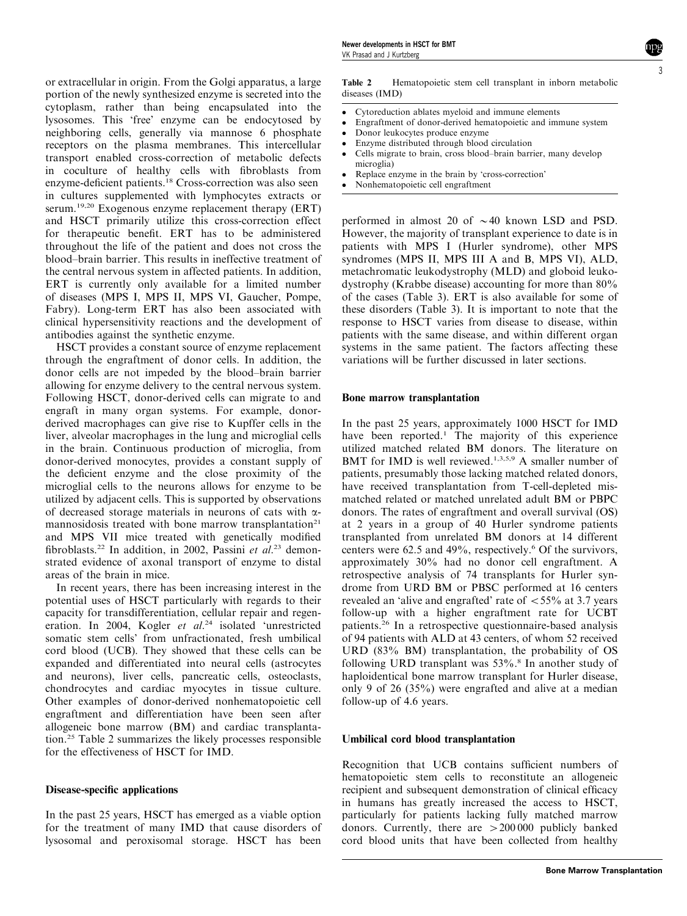3

or extracellular in origin. From the Golgi apparatus, a large portion of the newly synthesized enzyme is secreted into the cytoplasm, rather than being encapsulated into the lysosomes. This 'free' enzyme can be endocytosed by neighboring cells, generally via mannose 6 phosphate receptors on the plasma membranes. This intercellular transport enabled cross-correction of metabolic defects in coculture of healthy cells with fibroblasts from enzyme-deficient patients.18 Cross-correction was also seen in cultures supplemented with lymphocytes extracts or serum.<sup>19,20</sup> Exogenous enzyme replacement therapy (ERT) and HSCT primarily utilize this cross-correction effect for therapeutic benefit. ERT has to be administered throughout the life of the patient and does not cross the blood–brain barrier. This results in ineffective treatment of the central nervous system in affected patients. In addition, ERT is currently only available for a limited number of diseases (MPS I, MPS II, MPS VI, Gaucher, Pompe, Fabry). Long-term ERT has also been associated with clinical hypersensitivity reactions and the development of antibodies against the synthetic enzyme.

HSCT provides a constant source of enzyme replacement through the engraftment of donor cells. In addition, the donor cells are not impeded by the blood–brain barrier allowing for enzyme delivery to the central nervous system. Following HSCT, donor-derived cells can migrate to and engraft in many organ systems. For example, donorderived macrophages can give rise to Kupffer cells in the liver, alveolar macrophages in the lung and microglial cells in the brain. Continuous production of microglia, from donor-derived monocytes, provides a constant supply of the deficient enzyme and the close proximity of the microglial cells to the neurons allows for enzyme to be utilized by adjacent cells. This is supported by observations of decreased storage materials in neurons of cats with  $\alpha$ mannosidosis treated with bone marrow transplantation<sup>21</sup> and MPS VII mice treated with genetically modified fibroblasts.<sup>22</sup> In addition, in 2002, Passini et al.<sup>23</sup> demonstrated evidence of axonal transport of enzyme to distal areas of the brain in mice.

In recent years, there has been increasing interest in the potential uses of HSCT particularly with regards to their capacity for transdifferentiation, cellular repair and regeneration. In 2004, Kogler et al.<sup>24</sup> isolated 'unrestricted somatic stem cells' from unfractionated, fresh umbilical cord blood (UCB). They showed that these cells can be expanded and differentiated into neural cells (astrocytes and neurons), liver cells, pancreatic cells, osteoclasts, chondrocytes and cardiac myocytes in tissue culture. Other examples of donor-derived nonhematopoietic cell engraftment and differentiation have been seen after allogeneic bone marrow (BM) and cardiac transplantation.<sup>25</sup> Table 2 summarizes the likely processes responsible for the effectiveness of HSCT for IMD.

# Disease-specific applications

In the past 25 years, HSCT has emerged as a viable option for the treatment of many IMD that cause disorders of lysosomal and peroxisomal storage. HSCT has been Table 2 Hematopoietic stem cell transplant in inborn metabolic diseases (IMD)

- Cytoreduction ablates myeloid and immune elements
- Engraftment of donor-derived hematopoietic and immune system
- Donor leukocytes produce enzyme
- Enzyme distributed through blood circulation
- Cells migrate to brain, cross blood–brain barrier, many develop microglia)
- Replace enzyme in the brain by 'cross-correction'
- Nonhematopoietic cell engraftment

performed in almost 20 of  $\sim$  40 known LSD and PSD. However, the majority of transplant experience to date is in patients with MPS I (Hurler syndrome), other MPS syndromes (MPS II, MPS III A and B, MPS VI), ALD, metachromatic leukodystrophy (MLD) and globoid leukodystrophy (Krabbe disease) accounting for more than 80% of the cases (Table 3). ERT is also available for some of these disorders (Table 3). It is important to note that the response to HSCT varies from disease to disease, within patients with the same disease, and within different organ systems in the same patient. The factors affecting these variations will be further discussed in later sections.

### Bone marrow transplantation

In the past 25 years, approximately 1000 HSCT for IMD have been reported.<sup>1</sup> The majority of this experience utilized matched related BM donors. The literature on BMT for IMD is well reviewed.<sup>1,3,5,9</sup> A smaller number of patients, presumably those lacking matched related donors, have received transplantation from T-cell-depleted mismatched related or matched unrelated adult BM or PBPC donors. The rates of engraftment and overall survival (OS) at 2 years in a group of 40 Hurler syndrome patients transplanted from unrelated BM donors at 14 different centers were  $62.5$  and  $49\%$ , respectively.<sup>6</sup> Of the survivors, approximately 30% had no donor cell engraftment. A retrospective analysis of 74 transplants for Hurler syndrome from URD BM or PBSC performed at 16 centers revealed an 'alive and engrafted' rate of  $<$  55% at 3.7 years follow-up with a higher engraftment rate for UCBT patients.<sup>26</sup> In a retrospective questionnaire-based analysis of 94 patients with ALD at 43 centers, of whom 52 received URD (83% BM) transplantation, the probability of OS following URD transplant was 53%.<sup>8</sup> In another study of haploidentical bone marrow transplant for Hurler disease, only 9 of 26 (35%) were engrafted and alive at a median follow-up of 4.6 years.

### Umbilical cord blood transplantation

Recognition that UCB contains sufficient numbers of hematopoietic stem cells to reconstitute an allogeneic recipient and subsequent demonstration of clinical efficacy in humans has greatly increased the access to HSCT, particularly for patients lacking fully matched marrow donors. Currently, there are  $>200 000$  publicly banked cord blood units that have been collected from healthy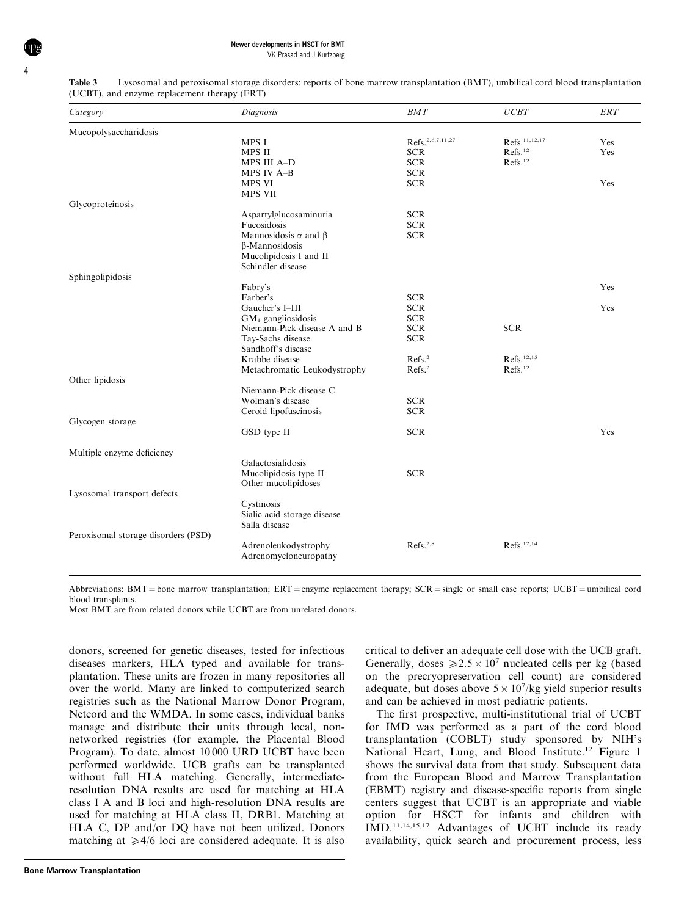| Category                            | Diagnosis                         | BMT                          | UCBT                      | <b>ERT</b> |
|-------------------------------------|-----------------------------------|------------------------------|---------------------------|------------|
| Mucopolysaccharidosis               |                                   |                              |                           |            |
|                                     | MPS I                             | Refs. <sup>2,6,7,11,27</sup> | Refs. <sup>11,12,17</sup> | Yes        |
|                                     | MPS II                            | <b>SCR</b>                   | Refs.12                   | Yes        |
|                                     | MPS III A-D                       | <b>SCR</b>                   | Refs. <sup>12</sup>       |            |
|                                     | MPS IV A-B                        | <b>SCR</b>                   |                           |            |
|                                     | MPS VI                            | <b>SCR</b>                   |                           | Yes        |
|                                     | MPS VII                           |                              |                           |            |
| Glycoproteinosis                    |                                   |                              |                           |            |
|                                     | Aspartylglucosaminuria            | <b>SCR</b>                   |                           |            |
|                                     | Fucosidosis                       | <b>SCR</b>                   |                           |            |
|                                     | Mannosidosis $\alpha$ and $\beta$ | <b>SCR</b>                   |                           |            |
|                                     | β-Mannosidosis                    |                              |                           |            |
|                                     | Mucolipidosis I and II            |                              |                           |            |
|                                     | Schindler disease                 |                              |                           |            |
| Sphingolipidosis                    |                                   |                              |                           |            |
|                                     | Fabry's                           |                              |                           | Yes        |
|                                     | Farber's                          | <b>SCR</b>                   |                           |            |
|                                     | Gaucher's I-III                   | <b>SCR</b>                   |                           | Yes        |
|                                     | $GM1$ gangliosidosis              | <b>SCR</b>                   |                           |            |
|                                     | Niemann-Pick disease A and B      | <b>SCR</b>                   | <b>SCR</b>                |            |
|                                     | Tay-Sachs disease                 | <b>SCR</b>                   |                           |            |
|                                     | Sandhoff's disease                |                              |                           |            |
|                                     | Krabbe disease                    | Refs. <sup>2</sup>           | Refs. <sup>12,15</sup>    |            |
|                                     | Metachromatic Leukodystrophy      | Refs. <sup>2</sup>           | Refs. <sup>12</sup>       |            |
| Other lipidosis                     |                                   |                              |                           |            |
|                                     | Niemann-Pick disease C            |                              |                           |            |
|                                     | Wolman's disease                  | <b>SCR</b>                   |                           |            |
|                                     | Ceroid lipofuscinosis             | <b>SCR</b>                   |                           |            |
| Glycogen storage                    |                                   |                              |                           |            |
|                                     | GSD type II                       | <b>SCR</b>                   |                           | Yes        |
|                                     |                                   |                              |                           |            |
| Multiple enzyme deficiency          |                                   |                              |                           |            |
|                                     | Galactosialidosis                 |                              |                           |            |
|                                     | Mucolipidosis type II             | <b>SCR</b>                   |                           |            |
|                                     | Other mucolipidoses               |                              |                           |            |
| Lysosomal transport defects         |                                   |                              |                           |            |
|                                     | Cystinosis                        |                              |                           |            |
|                                     | Sialic acid storage disease       |                              |                           |            |
|                                     | Salla disease                     |                              |                           |            |
| Peroxisomal storage disorders (PSD) |                                   |                              |                           |            |
|                                     | Adrenoleukodystrophy              | Refs. <sup>2,8</sup>         | Refs. <sup>12,14</sup>    |            |
|                                     | Adrenomyeloneuropathy             |                              |                           |            |
|                                     |                                   |                              |                           |            |

Table 3 Lysosomal and peroxisomal storage disorders: reports of bone marrow transplantation (BMT), umbilical cord blood transplantation (UCBT), and enzyme replacement therapy (ERT)

Abbreviations: BMT = bone marrow transplantation; ERT = enzyme replacement therapy; SCR = single or small case reports; UCBT = umbilical cord blood transplants.

Most BMT are from related donors while UCBT are from unrelated donors.

donors, screened for genetic diseases, tested for infectious diseases markers, HLA typed and available for transplantation. These units are frozen in many repositories all over the world. Many are linked to computerized search registries such as the National Marrow Donor Program, Netcord and the WMDA. In some cases, individual banks manage and distribute their units through local, nonnetworked registries (for example, the Placental Blood Program). To date, almost 10 000 URD UCBT have been performed worldwide. UCB grafts can be transplanted without full HLA matching. Generally, intermediateresolution DNA results are used for matching at HLA class I A and B loci and high-resolution DNA results are used for matching at HLA class II, DRB1. Matching at HLA C, DP and/or DQ have not been utilized. Donors matching at  $\geq 4/6$  loci are considered adequate. It is also critical to deliver an adequate cell dose with the UCB graft. Generally, doses  $\ge 2.5 \times 10^7$  nucleated cells per kg (based on the precryopreservation cell count) are considered adequate, but doses above  $5 \times 10^7$ /kg yield superior results and can be achieved in most pediatric patients.

The first prospective, multi-institutional trial of UCBT for IMD was performed as a part of the cord blood transplantation (COBLT) study sponsored by NIH's National Heart, Lung, and Blood Institute.<sup>12</sup> Figure 1 shows the survival data from that study. Subsequent data from the European Blood and Marrow Transplantation (EBMT) registry and disease-specific reports from single centers suggest that UCBT is an appropriate and viable option for HSCT for infants and children with IMD.11,14,15,17 Advantages of UCBT include its ready availability, quick search and procurement process, less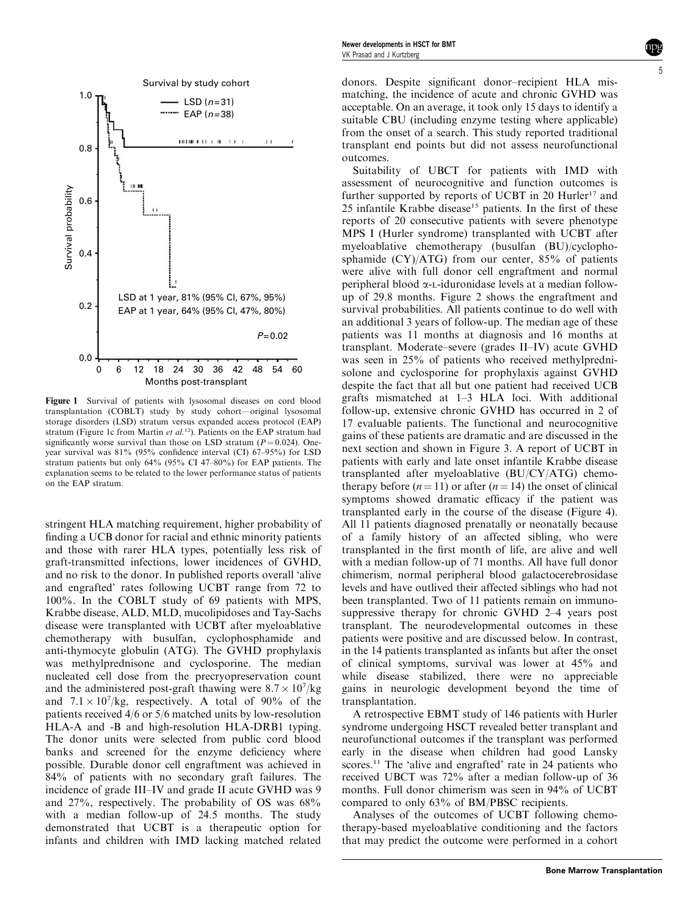

Figure 1 Survival of patients with lysosomal diseases on cord blood transplantation (COBLT) study by study cohort—original lysosomal storage disorders (LSD) stratum versus expanded access protocol (EAP) stratum (Figure 1c from Martin et al.<sup>12</sup>). Patients on the EAP stratum had significantly worse survival than those on LSD stratum ( $P = 0.024$ ). Oneyear survival was 81% (95% confidence interval (CI) 67–95%) for LSD stratum patients but only 64% (95% CI 47–80%) for EAP patients. The explanation seems to be related to the lower performance status of patients on the EAP stratum.

stringent HLA matching requirement, higher probability of finding a UCB donor for racial and ethnic minority patients and those with rarer HLA types, potentially less risk of graft-transmitted infections, lower incidences of GVHD, and no risk to the donor. In published reports overall 'alive and engrafted' rates following UCBT range from 72 to 100%. In the COBLT study of 69 patients with MPS, Krabbe disease, ALD, MLD, mucolipidoses and Tay-Sachs disease were transplanted with UCBT after myeloablative chemotherapy with busulfan, cyclophosphamide and anti-thymocyte globulin (ATG). The GVHD prophylaxis was methylprednisone and cyclosporine. The median nucleated cell dose from the precryopreservation count and the administered post-graft thawing were  $8.7 \times 10^7$ /kg and  $7.1 \times 10^7$ /kg, respectively. A total of 90% of the patients received 4/6 or 5/6 matched units by low-resolution HLA-A and -B and high-resolution HLA-DRB1 typing. The donor units were selected from public cord blood banks and screened for the enzyme deficiency where possible. Durable donor cell engraftment was achieved in 84% of patients with no secondary graft failures. The incidence of grade III–IV and grade II acute GVHD was 9 and 27%, respectively. The probability of OS was 68% with a median follow-up of 24.5 months. The study demonstrated that UCBT is a therapeutic option for infants and children with IMD lacking matched related donors. Despite significant donor–recipient HLA mismatching, the incidence of acute and chronic GVHD was acceptable. On an average, it took only 15 days to identify a suitable CBU (including enzyme testing where applicable) from the onset of a search. This study reported traditional transplant end points but did not assess neurofunctional outcomes.

Suitability of UBCT for patients with IMD with assessment of neurocognitive and function outcomes is further supported by reports of UCBT in 20  $Hurler<sup>17</sup>$  and 25 infantile Krabbe disease<sup>15</sup> patients. In the first of these reports of 20 consecutive patients with severe phenotype MPS I (Hurler syndrome) transplanted with UCBT after myeloablative chemotherapy (busulfan (BU)/cyclophosphamide (CY)/ATG) from our center, 85% of patients were alive with full donor cell engraftment and normal peripheral blood a-L-iduronidase levels at a median followup of 29.8 months. Figure 2 shows the engraftment and survival probabilities. All patients continue to do well with an additional 3years of follow-up. The median age of these patients was 11 months at diagnosis and 16 months at transplant. Moderate–severe (grades II–IV) acute GVHD was seen in 25% of patients who received methylprednisolone and cyclosporine for prophylaxis against GVHD despite the fact that all but one patient had received UCB grafts mismatched at  $1-3$  HLA loci. With additional follow-up, extensive chronic GVHD has occurred in 2 of 17 evaluable patients. The functional and neurocognitive gains of these patients are dramatic and are discussed in the next section and shown in Figure 3. A report of UCBT in patients with early and late onset infantile Krabbe disease transplanted after myeloablative (BU/CY/ATG) chemotherapy before  $(n = 11)$  or after  $(n = 14)$  the onset of clinical symptoms showed dramatic efficacy if the patient was transplanted early in the course of the disease (Figure 4). All 11 patients diagnosed prenatally or neonatally because of a family history of an affected sibling, who were transplanted in the first month of life, are alive and well with a median follow-up of 71 months. All have full donor chimerism, normal peripheral blood galactocerebrosidase levels and have outlived their affected siblings who had not been transplanted. Two of 11 patients remain on immunosuppressive therapy for chronic GVHD 2–4 years post transplant. The neurodevelopmental outcomes in these patients were positive and are discussed below. In contrast, in the 14 patients transplanted as infants but after the onset of clinical symptoms, survival was lower at 45% and while disease stabilized, there were no appreciable gains in neurologic development beyond the time of transplantation.

A retrospective EBMT study of 146 patients with Hurler syndrome undergoing HSCT revealed better transplant and neurofunctional outcomes if the transplant was performed early in the disease when children had good Lansky scores.<sup>11</sup> The 'alive and engrafted' rate in 24 patients who received UBCT was 72% after a median follow-up of 36 months. Full donor chimerism was seen in 94% of UCBT compared to only 63% of BM/PBSC recipients.

Analyses of the outcomes of UCBT following chemotherapy-based myeloablative conditioning and the factors that may predict the outcome were performed in a cohort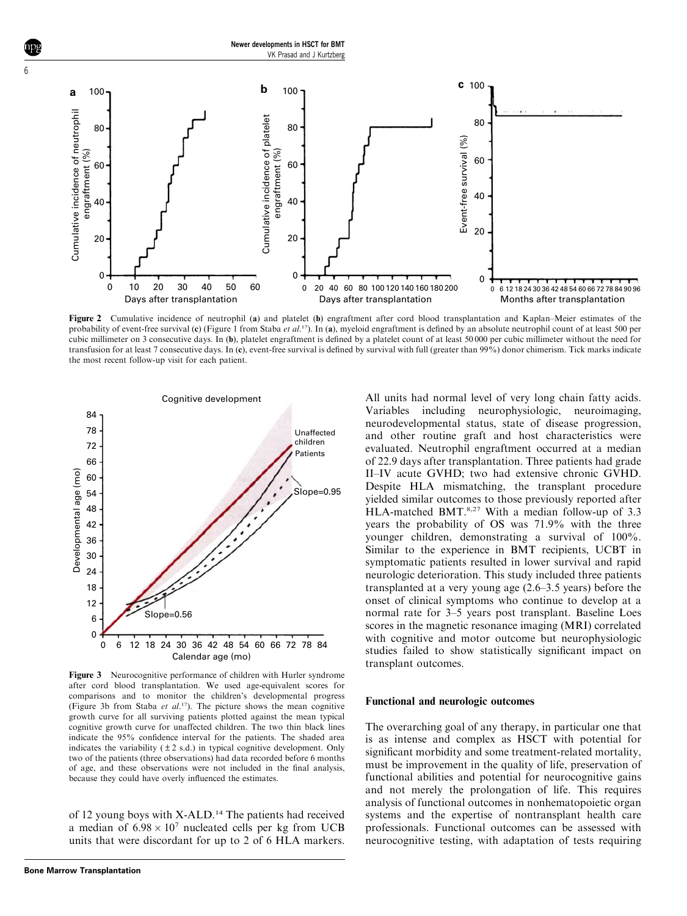Newer developments in HSCT for BMT VK Prasad and J Kurtzberg



Figure 2 Cumulative incidence of neutrophil (a) and platelet (b) engraftment after cord blood transplantation and Kaplan–Meier estimates of the probability of event-free survival (c) (Figure 1 from Staba et al.<sup>17</sup>). In (a), myeloid engraftment is defined by an absolute neutrophil count of at least 500 per cubic millimeter on 3consecutive days. In (b), platelet engraftment is defined by a platelet count of at least 50 000 per cubic millimeter without the need for transfusion for at least 7 consecutive days. In (c), event-free survival is defined by survival with full (greater than 99%) donor chimerism. Tick marks indicate the most recent follow-up visit for each patient.



Figure 3 Neurocognitive performance of children with Hurler syndrome after cord blood transplantation. We used age-equivalent scores for comparisons and to monitor the children's developmental progress (Figure 3b from Staba et  $al$ .<sup>17</sup>). The picture shows the mean cognitive growth curve for all surviving patients plotted against the mean typical cognitive growth curve for unaffected children. The two thin black lines indicate the 95% confidence interval for the patients. The shaded area indicates the variability  $(\pm 2 \text{ s.d.})$  in typical cognitive development. Only two of the patients (three observations) had data recorded before 6 months of age, and these observations were not included in the final analysis, because they could have overly influenced the estimates.

of 12 young boys with X-ALD.<sup>14</sup> The patients had received a median of  $6.98 \times 10^7$  nucleated cells per kg from UCB units that were discordant for up to 2 of 6 HLA markers.

6

All units had normal level of very long chain fatty acids. Variables including neurophysiologic, neuroimaging, neurodevelopmental status, state of disease progression, and other routine graft and host characteristics were evaluated. Neutrophil engraftment occurred at a median of 22.9 days after transplantation. Three patients had grade II–IV acute GVHD; two had extensive chronic GVHD. Despite HLA mismatching, the transplant procedure yielded similar outcomes to those previously reported after HLA-matched BMT. $8,27$  With a median follow-up of 3.3 years the probability of OS was 71.9% with the three younger children, demonstrating a survival of 100%. Similar to the experience in BMT recipients, UCBT in symptomatic patients resulted in lower survival and rapid neurologic deterioration. This study included three patients transplanted at a very young age (2.6–3.5 years) before the onset of clinical symptoms who continue to develop at a normal rate for 3–5 years post transplant. Baseline Loes scores in the magnetic resonance imaging (MRI) correlated with cognitive and motor outcome but neurophysiologic studies failed to show statistically significant impact on transplant outcomes.

#### Functional and neurologic outcomes

The overarching goal of any therapy, in particular one that is as intense and complex as HSCT with potential for significant morbidity and some treatment-related mortality, must be improvement in the quality of life, preservation of functional abilities and potential for neurocognitive gains and not merely the prolongation of life. This requires analysis of functional outcomes in nonhematopoietic organ systems and the expertise of nontransplant health care professionals. Functional outcomes can be assessed with neurocognitive testing, with adaptation of tests requiring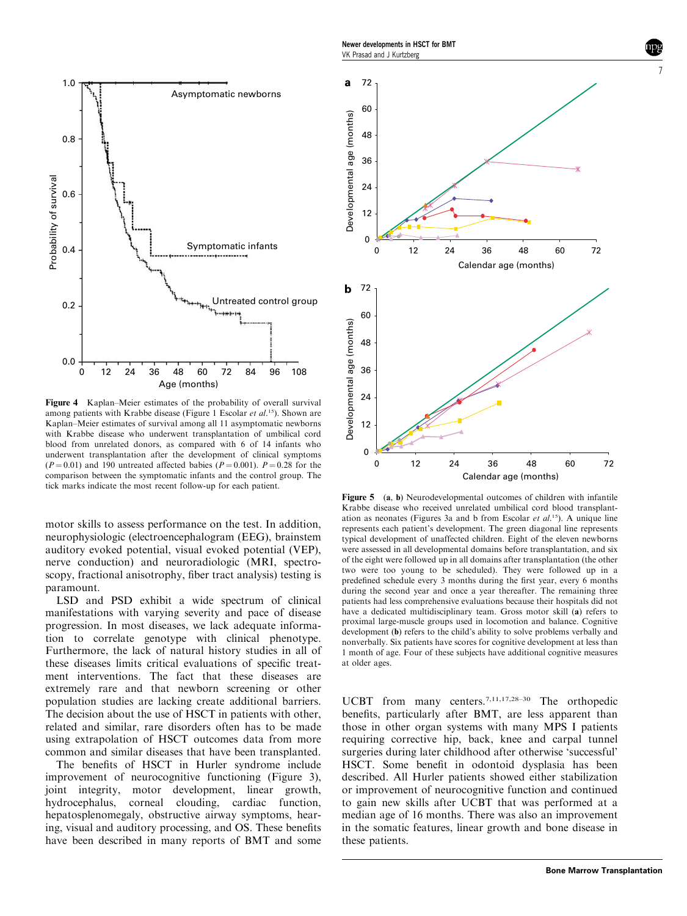

Figure 4 Kaplan–Meier estimates of the probability of overall survival among patients with Krabbe disease (Figure 1 Escolar et al.<sup>15</sup>). Shown are Kaplan–Meier estimates of survival among all 11 asymptomatic newborns with Krabbe disease who underwent transplantation of umbilical cord blood from unrelated donors, as compared with 6 of 14 infants who underwent transplantation after the development of clinical symptoms  $(P = 0.01)$  and 190 untreated affected babies  $(P = 0.001)$ .  $P = 0.28$  for the comparison between the symptomatic infants and the control group. The tick marks indicate the most recent follow-up for each patient.

motor skills to assess performance on the test. In addition, neurophysiologic (electroencephalogram (EEG), brainstem auditory evoked potential, visual evoked potential (VEP), nerve conduction) and neuroradiologic (MRI, spectroscopy, fractional anisotrophy, fiber tract analysis) testing is paramount.

LSD and PSD exhibit a wide spectrum of clinical manifestations with varying severity and pace of disease progression. In most diseases, we lack adequate information to correlate genotype with clinical phenotype. Furthermore, the lack of natural history studies in all of these diseases limits critical evaluations of specific treatment interventions. The fact that these diseases are extremely rare and that newborn screening or other population studies are lacking create additional barriers. The decision about the use of HSCT in patients with other, related and similar, rare disorders often has to be made using extrapolation of HSCT outcomes data from more common and similar diseases that have been transplanted.

The benefits of HSCT in Hurler syndrome include improvement of neurocognitive functioning (Figure 3), joint integrity, motor development, linear growth, hydrocephalus, corneal clouding, cardiac function, hepatosplenomegaly, obstructive airway symptoms, hearing, visual and auditory processing, and OS. These benefits have been described in many reports of BMT and some



Figure 5 (a, b) Neurodevelopmental outcomes of children with infantile Krabbe disease who received unrelated umbilical cord blood transplantation as neonates (Figures 3a and b from Escolar et al.<sup>15</sup>). A unique line represents each patient's development. The green diagonal line represents typical development of unaffected children. Eight of the eleven newborns were assessed in all developmental domains before transplantation, and six of the eight were followed up in all domains after transplantation (the other two were too young to be scheduled). They were followed up in a predefined schedule every 3months during the first year, every 6 months during the second year and once a year thereafter. The remaining three patients had less comprehensive evaluations because their hospitals did not have a dedicated multidisciplinary team. Gross motor skill (a) refers to proximal large-muscle groups used in locomotion and balance. Cognitive development (b) refers to the child's ability to solve problems verbally and nonverbally. Six patients have scores for cognitive development at less than 1 month of age. Four of these subjects have additional cognitive measures at older ages.

UCBT from many centers.<sup>7,11,17,28-30</sup> The orthopedic benefits, particularly after BMT, are less apparent than those in other organ systems with many MPS I patients requiring corrective hip, back, knee and carpal tunnel surgeries during later childhood after otherwise 'successful' HSCT. Some benefit in odontoid dysplasia has been described. All Hurler patients showed either stabilization or improvement of neurocognitive function and continued to gain new skills after UCBT that was performed at a median age of 16 months. There was also an improvement in the somatic features, linear growth and bone disease in these patients.

7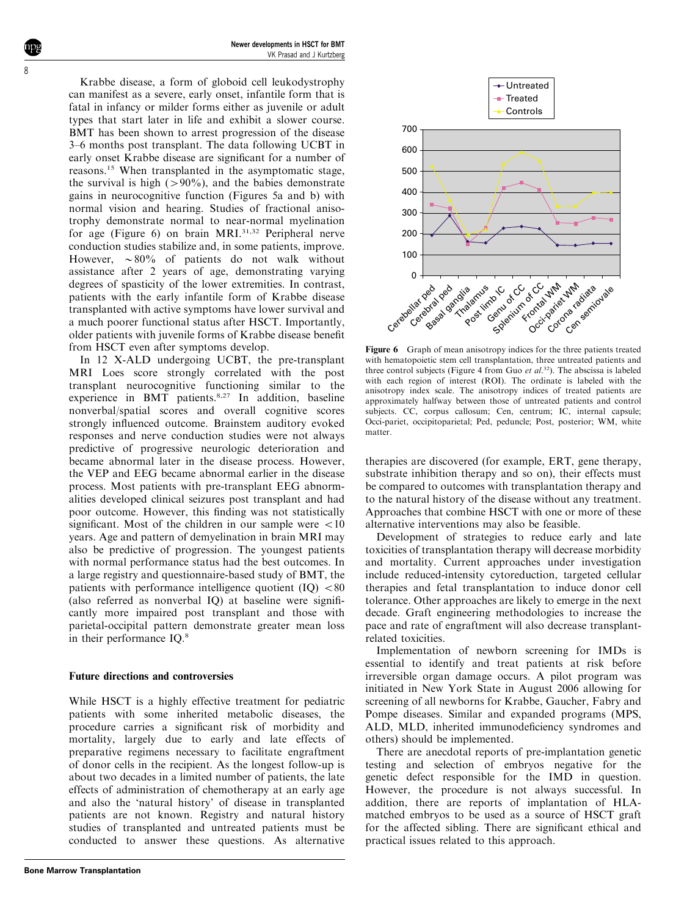Krabbe disease, a form of globoid cell leukodystrophy can manifest as a severe, early onset, infantile form that is fatal in infancy or milder forms either as juvenile or adult types that start later in life and exhibit a slower course. BMT has been shown to arrest progression of the disease 3–6 months post transplant. The data following UCBT in early onset Krabbe disease are significant for a number of reasons.<sup>15</sup> When transplanted in the asymptomatic stage, the survival is high  $(>90\%)$ , and the babies demonstrate gains in neurocognitive function (Figures 5a and b) with normal vision and hearing. Studies of fractional anisotrophy demonstrate normal to near-normal myelination for age (Figure 6) on brain MRI.<sup>31,32</sup> Peripheral nerve conduction studies stabilize and, in some patients, improve. However,  $\sim 80\%$  of patients do not walk without assistance after 2 years of age, demonstrating varying degrees of spasticity of the lower extremities. In contrast, patients with the early infantile form of Krabbe disease transplanted with active symptoms have lower survival and a much poorer functional status after HSCT. Importantly, older patients with juvenile forms of Krabbe disease benefit from HSCT even after symptoms develop.

8

In 12 X-ALD undergoing UCBT, the pre-transplant MRI Loes score strongly correlated with the post transplant neurocognitive functioning similar to the experience in BMT patients.<sup>8,27</sup> In addition, baseline nonverbal/spatial scores and overall cognitive scores strongly influenced outcome. Brainstem auditory evoked responses and nerve conduction studies were not always predictive of progressive neurologic deterioration and became abnormal later in the disease process. However, the VEP and EEG became abnormal earlier in the disease process. Most patients with pre-transplant EEG abnormalities developed clinical seizures post transplant and had poor outcome. However, this finding was not statistically significant. Most of the children in our sample were  $\langle 10 \rangle$ years. Age and pattern of demyelination in brain MRI may also be predictive of progression. The youngest patients with normal performance status had the best outcomes. In a large registry and questionnaire-based study of BMT, the patients with performance intelligence quotient  $(IQ) < 80$ (also referred as nonverbal IQ) at baseline were significantly more impaired post transplant and those with parietal-occipital pattern demonstrate greater mean loss in their performance IQ.<sup>8</sup>

# Future directions and controversies

While HSCT is a highly effective treatment for pediatric patients with some inherited metabolic diseases, the procedure carries a significant risk of morbidity and mortality, largely due to early and late effects of preparative regimens necessary to facilitate engraftment of donor cells in the recipient. As the longest follow-up is about two decades in a limited number of patients, the late effects of administration of chemotherapy at an early age and also the 'natural history' of disease in transplanted patients are not known. Registry and natural history studies of transplanted and untreated patients must be conducted to answer these questions. As alternative



Figure 6 Graph of mean anisotropy indices for the three patients treated with hematopoietic stem cell transplantation, three untreated patients and three control subjects (Figure 4 from Guo et  $al.^{32}$ ). The abscissa is labeled with each region of interest (ROI). The ordinate is labeled with the anisotropy index scale. The anisotropy indices of treated patients are approximately halfway between those of untreated patients and control subjects. CC, corpus callosum; Cen, centrum; IC, internal capsule; Occi-pariet, occipitoparietal; Ped, peduncle; Post, posterior; WM, white matter.

therapies are discovered (for example, ERT, gene therapy, substrate inhibition therapy and so on), their effects must be compared to outcomes with transplantation therapy and to the natural history of the disease without any treatment. Approaches that combine HSCT with one or more of these alternative interventions may also be feasible.

Development of strategies to reduce early and late toxicities of transplantation therapy will decrease morbidity and mortality. Current approaches under investigation include reduced-intensity cytoreduction, targeted cellular therapies and fetal transplantation to induce donor cell tolerance. Other approaches are likely to emerge in the next decade. Graft engineering methodologies to increase the pace and rate of engraftment will also decrease transplantrelated toxicities.

Implementation of newborn screening for IMDs is essential to identify and treat patients at risk before irreversible organ damage occurs. A pilot program was initiated in New York State in August 2006 allowing for screening of all newborns for Krabbe, Gaucher, Fabry and Pompe diseases. Similar and expanded programs (MPS, ALD, MLD, inherited immunodeficiency syndromes and others) should be implemented.

There are anecdotal reports of pre-implantation genetic testing and selection of embryos negative for the genetic defect responsible for the IMD in question. However, the procedure is not always successful. In addition, there are reports of implantation of HLAmatched embryos to be used as a source of HSCT graft for the affected sibling. There are significant ethical and practical issues related to this approach.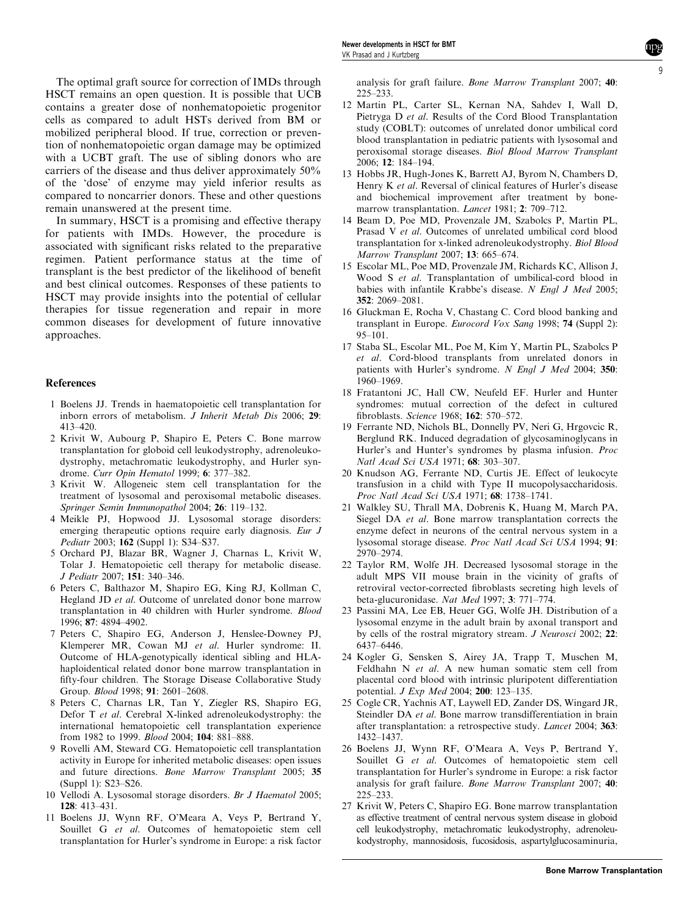The optimal graft source for correction of IMDs through HSCT remains an open question. It is possible that UCB contains a greater dose of nonhematopoietic progenitor cells as compared to adult HSTs derived from BM or mobilized peripheral blood. If true, correction or prevention of nonhematopoietic organ damage may be optimized with a UCBT graft. The use of sibling donors who are carriers of the disease and thus deliver approximately 50% of the 'dose' of enzyme may yield inferior results as compared to noncarrier donors. These and other questions remain unanswered at the present time.

In summary, HSCT is a promising and effective therapy for patients with IMDs. However, the procedure is associated with significant risks related to the preparative regimen. Patient performance status at the time of transplant is the best predictor of the likelihood of benefit and best clinical outcomes. Responses of these patients to HSCT may provide insights into the potential of cellular therapies for tissue regeneration and repair in more common diseases for development of future innovative approaches.

### References

- 1 Boelens JJ. Trends in haematopoietic cell transplantation for inborn errors of metabolism. J Inherit Metab Dis 2006; 29: 413–420.
- 2 Krivit W, Aubourg P, Shapiro E, Peters C. Bone marrow transplantation for globoid cell leukodystrophy, adrenoleukodystrophy, metachromatic leukodystrophy, and Hurler syndrome. Curr Opin Hematol 1999; 6: 377–382.
- 3Krivit W. Allogeneic stem cell transplantation for the treatment of lysosomal and peroxisomal metabolic diseases. Springer Semin Immunopathol 2004; 26: 119–132.
- 4 Meikle PJ, Hopwood JJ. Lysosomal storage disorders: emerging therapeutic options require early diagnosis. Eur J Pediatr 2003; 162 (Suppl 1): S34–S37.
- 5 Orchard PJ, Blazar BR, Wagner J, Charnas L, Krivit W, Tolar J. Hematopoietic cell therapy for metabolic disease. J Pediatr 2007; 151: 340–346.
- 6 Peters C, Balthazor M, Shapiro EG, King RJ, Kollman C, Hegland JD et al. Outcome of unrelated donor bone marrow transplantation in 40 children with Hurler syndrome. Blood 1996; 87: 4894–4902.
- 7 Peters C, Shapiro EG, Anderson J, Henslee-Downey PJ, Klemperer MR, Cowan MJ et al. Hurler syndrome: II. Outcome of HLA-genotypically identical sibling and HLAhaploidentical related donor bone marrow transplantation in fifty-four children. The Storage Disease Collaborative Study Group. Blood 1998; 91: 2601–2608.
- 8 Peters C, Charnas LR, Tan Y, Ziegler RS, Shapiro EG, Defor T et al. Cerebral X-linked adrenoleukodystrophy: the international hematopoietic cell transplantation experience from 1982 to 1999. Blood 2004; 104: 881–888.
- 9 Rovelli AM, Steward CG. Hematopoietic cell transplantation activity in Europe for inherited metabolic diseases: open issues and future directions. Bone Marrow Transplant 2005; 35 (Suppl 1): S23–S26.
- 10 Vellodi A. Lysosomal storage disorders. Br J Haematol 2005; 128: 413–431.
- 11 Boelens JJ, Wynn RF, O'Meara A, Veys P, Bertrand Y, Souillet G et al. Outcomes of hematopoietic stem cell transplantation for Hurler's syndrome in Europe: a risk factor

analysis for graft failure. Bone Marrow Transplant 2007; 40: 225–233.

- 12 Martin PL, Carter SL, Kernan NA, Sahdev I, Wall D, Pietryga D et al. Results of the Cord Blood Transplantation study (COBLT): outcomes of unrelated donor umbilical cord blood transplantation in pediatric patients with lysosomal and peroxisomal storage diseases. Biol Blood Marrow Transplant 2006; 12: 184–194.
- 13 Hobbs JR, Hugh-Jones K, Barrett AJ, Byrom N, Chambers D, Henry K et al. Reversal of clinical features of Hurler's disease and biochemical improvement after treatment by bonemarrow transplantation. Lancet 1981; 2: 709–712.
- 14 Beam D, Poe MD, Provenzale JM, Szabolcs P, Martin PL, Prasad V et al. Outcomes of unrelated umbilical cord blood transplantation for x-linked adrenoleukodystrophy. Biol Blood Marrow Transplant 2007; 13: 665–674.
- 15 Escolar ML, Poe MD, Provenzale JM, Richards KC, Allison J, Wood S et al. Transplantation of umbilical-cord blood in babies with infantile Krabbe's disease. N Engl J Med 2005; 352: 2069–2081.
- 16 Gluckman E, Rocha V, Chastang C. Cord blood banking and transplant in Europe. *Eurocord Vox Sang* 1998; 74 (Suppl 2): 95–101.
- 17 Staba SL, Escolar ML, Poe M, Kim Y, Martin PL, Szabolcs P et al. Cord-blood transplants from unrelated donors in patients with Hurler's syndrome. N Engl J Med 2004; 350: 1960–1969.
- 18 Fratantoni JC, Hall CW, Neufeld EF. Hurler and Hunter syndromes: mutual correction of the defect in cultured fibroblasts. Science 1968; 162: 570–572.
- 19 Ferrante ND, Nichols BL, Donnelly PV, Neri G, Hrgovcic R, Berglund RK. Induced degradation of glycosaminoglycans in Hurler's and Hunter's syndromes by plasma infusion. Proc Natl Acad Sci USA 1971; 68: 303–307.
- 20 Knudson AG, Ferrante ND, Curtis JE. Effect of leukocyte transfusion in a child with Type II mucopolysaccharidosis. Proc Natl Acad Sci USA 1971; 68: 1738-1741.
- 21 Walkley SU, Thrall MA, Dobrenis K, Huang M, March PA, Siegel DA et al. Bone marrow transplantation corrects the enzyme defect in neurons of the central nervous system in a lysosomal storage disease. Proc Natl Acad Sci USA 1994; 91: 2970–2974.
- 22 Taylor RM, Wolfe JH. Decreased lysosomal storage in the adult MPS VII mouse brain in the vicinity of grafts of retroviral vector-corrected fibroblasts secreting high levels of beta-glucuronidase. Nat Med 1997; 3: 771–774.
- 23 Passini MA, Lee EB, Heuer GG, Wolfe JH. Distribution of a lysosomal enzyme in the adult brain by axonal transport and by cells of the rostral migratory stream. J Neurosci 2002; 22: 6437–6446.
- 24 Kogler G, Sensken S, Airey JA, Trapp T, Muschen M, Feldhahn N et al. A new human somatic stem cell from placental cord blood with intrinsic pluripotent differentiation potential. J Exp Med 2004; 200: 123–135.
- 25 Cogle CR, Yachnis AT, Laywell ED, Zander DS, Wingard JR, Steindler DA et al. Bone marrow transdifferentiation in brain after transplantation: a retrospective study. Lancet 2004; 363: 1432–1437.
- 26 Boelens JJ, Wynn RF, O'Meara A, Veys P, Bertrand Y, Souillet G et al. Outcomes of hematopoietic stem cell transplantation for Hurler's syndrome in Europe: a risk factor analysis for graft failure. Bone Marrow Transplant 2007; 40: 225–233.
- 27 Krivit W, Peters C, Shapiro EG. Bone marrow transplantation as effective treatment of central nervous system disease in globoid cell leukodystrophy, metachromatic leukodystrophy, adrenoleukodystrophy, mannosidosis, fucosidosis, aspartylglucosaminuria,